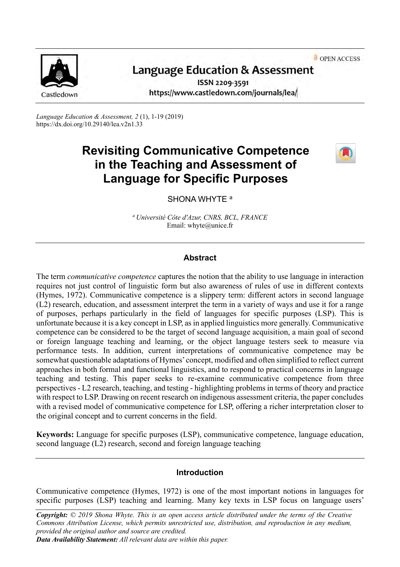OPEN ACCESS



# Language Education & Assessment

ISSN 2209-3591 https://www.castledown.com/journals/lea/

*Language Education & Assessment, 2* (1), 1-19 (2019) <https://dx.doi.org/10.29140/lea.v2n1.33>

# **Revisiting Communicative Competence in the Teaching and Assessment of Language for Specific Purposes**



# SHONA WHYTE<sup>a</sup>

*<sup>a</sup>Université Côte d'Azur, CNRS, BCL, FRANCE* Email: whyte@unice.fr

# **Abstract**

The term *communicative competence* captures the notion that the ability to use language in interaction requires not just control of linguistic form but also awareness of rules of use in different contexts (Hymes, 1972). Communicative competence is a slippery term: different actors in second language (L2) research, education, and assessment interpret the term in a variety of ways and use it for a range of purposes, perhaps particularly in the field of languages for specific purposes (LSP). This is unfortunate because it is a key concept in LSP, as in applied linguistics more generally. Communicative competence can be considered to be the target of second language acquisition, a main goal of second or foreign language teaching and learning, or the object language testers seek to measure via performance tests. In addition, current interpretations of communicative competence may be somewhat questionable adaptations of Hymes' concept, modified and often simplified to reflect current approaches in both formal and functional linguistics, and to respond to practical concerns in language teaching and testing. This paper seeks to re-examine communicative competence from three perspectives - L2 research, teaching, and testing - highlighting problems in terms of theory and practice with respect to LSP. Drawing on recent research on indigenous assessment criteria, the paper concludes with a revised model of communicative competence for LSP, offering a richer interpretation closer to the original concept and to current concerns in the field.

**Keywords:** Language for specific purposes (LSP), communicative competence, language education, second language (L2) research, second and foreign language teaching

# **Introduction**

Communicative competence (Hymes, 1972) is one of the most important notions in languages for specific purposes (LSP) teaching and learning. Many key texts in LSP focus on language users'

*Copyright: © 2019 Shona Whyte. This is an open access article distributed under the terms of the [Creative](http://creativecommons.org/licenses/by-nc-nd/4.0)  [Commons Attribution License,](http://creativecommons.org/licenses/by-nc-nd/4.0) which permits unrestricted use, distribution, and reproduction in any medium, provided the original author and source are credited.*

*Data Availability Statement: All relevant data are within this paper.*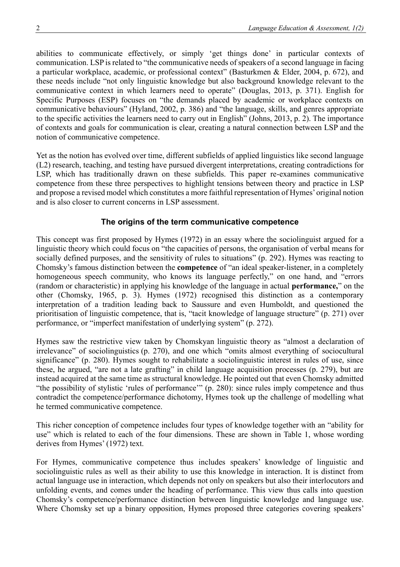abilities to communicate effectively, or simply 'get things done' in particular contexts of communication. LSP is related to "the communicative needs of speakers of a second language in facing a particular workplace, academic, or professional context" (Basturkmen & Elder, 2004, p. 672), and these needs include "not only linguistic knowledge but also background knowledge relevant to the communicative context in which learners need to operate" (Douglas, 2013, p. 371). English for Specific Purposes (ESP) focuses on "the demands placed by academic or workplace contexts on communicative behaviours" (Hyland, 2002, p. 386) and "the language, skills, and genres appropriate to the specific activities the learners need to carry out in English" (Johns, 2013, p. 2). The importance of contexts and goals for communication is clear, creating a natural connection between LSP and the notion of communicative competence.

Yet as the notion has evolved over time, different subfields of applied linguistics like second language (L2) research, teaching, and testing have pursued divergent interpretations, creating contradictions for LSP, which has traditionally drawn on these subfields. This paper re-examines communicative competence from these three perspectives to highlight tensions between theory and practice in LSP and propose a revised model which constitutes a more faithful representation of Hymes' original notion and is also closer to current concerns in LSP assessment.

# **The origins of the term communicative competence**

This concept was first proposed by Hymes (1972) in an essay where the sociolinguist argued for a linguistic theory which could focus on "the capacities of persons, the organisation of verbal means for socially defined purposes, and the sensitivity of rules to situations" (p. 292). Hymes was reacting to Chomsky's famous distinction between the **competence** of "an ideal speaker-listener, in a completely homogeneous speech community, who knows its language perfectly," on one hand, and "errors (random or characteristic) in applying his knowledge of the language in actual **performance,**" on the other (Chomsky, 1965, p. 3). Hymes (1972) recognised this distinction as a contemporary interpretation of a tradition leading back to Saussure and even Humboldt, and questioned the prioritisation of linguistic competence, that is, "tacit knowledge of language structure" (p. 271) over performance, or "imperfect manifestation of underlying system" (p. 272).

Hymes saw the restrictive view taken by Chomskyan linguistic theory as "almost a declaration of irrelevance" of sociolinguistics (p. 270), and one which "omits almost everything of sociocultural significance" (p. 280). Hymes sought to rehabilitate a sociolinguistic interest in rules of use, since these, he argued, "are not a late grafting" in child language acquisition processes (p. 279), but are instead acquired at the same time as structural knowledge. He pointed out that even Chomsky admitted "the possibility of stylistic 'rules of performance'" (p. 280): since rules imply competence and thus contradict the competence/performance dichotomy, Hymes took up the challenge of modelling what he termed communicative competence.

This richer conception of competence includes four types of knowledge together with an "ability for use" which is related to each of the four dimensions. These are shown in Table 1, whose wording derives from Hymes' (1972) text.

For Hymes, communicative competence thus includes speakers' knowledge of linguistic and sociolinguistic rules as well as their ability to use this knowledge in interaction. It is distinct from actual language use in interaction, which depends not only on speakers but also their interlocutors and unfolding events, and comes under the heading of performance. This view thus calls into question Chomsky's competence/performance distinction between linguistic knowledge and language use. Where Chomsky set up a binary opposition, Hymes proposed three categories covering speakers'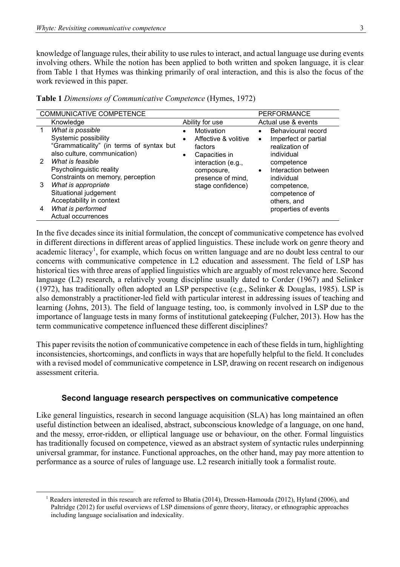knowledge of language rules, their ability to use rules to interact, and actual language use during events involving others. While the notion has been applied to both written and spoken language, it is clear from Table 1 that Hymes was thinking primarily of oral interaction, and this is also the focus of the work reviewed in this paper.

| COMMUNICATIVE COMPETENCE<br><b>PERFORMANCE</b>                                |                                                                          |  |                                                                |                        |                                                                            |  |
|-------------------------------------------------------------------------------|--------------------------------------------------------------------------|--|----------------------------------------------------------------|------------------------|----------------------------------------------------------------------------|--|
| Knowledge                                                                     |                                                                          |  | Ability for use                                                |                        | Actual use & events                                                        |  |
| What is possible<br>1<br>Systemic possibility                                 | "Grammaticality" (in terms of syntax but<br>also culture, communication) |  | Motivation<br>Affective & volitive<br>factors<br>Capacities in | $\bullet$<br>$\bullet$ | Behavioural record<br>Imperfect or partial<br>realization of<br>individual |  |
| What is feasible<br>$\mathcal{P}$<br>Psycholinguistic reality                 | Constraints on memory, perception                                        |  | interaction (e.g.,<br>composure,<br>presence of mind,          | $\bullet$              | competence<br>Interaction between<br>individual                            |  |
| What is appropriate<br>3<br>Situational judgement<br>Acceptability in context |                                                                          |  | stage confidence)                                              |                        | competence,<br>competence of<br>others, and                                |  |
| What is performed<br>4<br>Actual occurrences                                  |                                                                          |  |                                                                |                        | properties of events                                                       |  |

**Table 1** *Dimensions of Communicative Competence* (Hymes, 1972)

In the five decades since its initial formulation, the concept of communicative competence has evolved in different directions in different areas of applied linguistics. These include work on genre theory and academic literacy<sup>1</sup>, for example, which focus on written language and are no doubt less central to our concerns with communicative competence in L2 education and assessment. The field of LSP has historical ties with three areas of applied linguistics which are arguably of most relevance here. Second language (L2) research, a relatively young discipline usually dated to Corder (1967) and Selinker (1972), has traditionally often adopted an LSP perspective (e.g., Selinker & Douglas, 1985). LSP is also demonstrably a practitioner-led field with particular interest in addressing issues of teaching and learning (Johns, 2013). The field of language testing, too, is commonly involved in LSP due to the importance of language tests in many forms of institutional gatekeeping (Fulcher, 2013). How has the term communicative competence influenced these different disciplines?

This paper revisits the notion of communicative competence in each of these fields in turn, highlighting inconsistencies, shortcomings, and conflicts in ways that are hopefully helpful to the field. It concludes with a revised model of communicative competence in LSP, drawing on recent research on indigenous assessment criteria.

# **Second language research perspectives on communicative competence**

Like general linguistics, research in second language acquisition (SLA) has long maintained an often useful distinction between an idealised, abstract, subconscious knowledge of a language, on one hand, and the messy, error-ridden, or elliptical language use or behaviour, on the other. Formal linguistics has traditionally focused on competence, viewed as an abstract system of syntactic rules underpinning universal grammar, for instance. Functional approaches, on the other hand, may pay more attention to performance as a source of rules of language use. L2 research initially took a formalist route.

<sup>1</sup> Readers interested in this research are referred to Bhatia (2014), Dressen-Hamouda (2012), Hyland (2006), and Paltridge (2012) for useful overviews of LSP dimensions of genre theory, literacy, or ethnographic approaches including language socialisation and indexicality.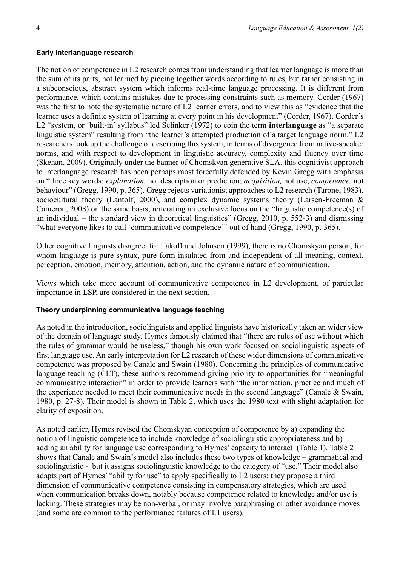### **Early interlanguage research**

The notion of competence in L2 research comes from understanding that learner language is more than the sum of its parts, not learned by piecing together words according to rules, but rather consisting in a subconscious, abstract system which informs real-time language processing. It is different from performance, which contains mistakes due to processing constraints such as memory. Corder (1967) was the first to note the systematic nature of L2 learner errors, and to view this as "evidence that the learner uses a definite system of learning at every point in his development" (Corder, 1967). Corder's L2 "system, or 'built-in' syllabus" led Selinker (1972) to coin the term **interlanguage** as "a separate linguistic system" resulting from "the learner's attempted production of a target language norm." L2 researchers took up the challenge of describing this system, in terms of divergence from native-speaker norms, and with respect to development in linguistic accuracy, complexity and fluency over time (Skehan, 2009). Originally under the banner of Chomskyan generative SLA, this cognitivist approach to interlanguage research has been perhaps most forcefully defended by Kevin Gregg with emphasis on "three key words: *explanation,* not description or prediction; *acquisition,* not use; *competence,* not behaviour" (Gregg, 1990, p. 365). Gregg rejects variationist approaches to L2 research (Tarone, 1983), sociocultural theory (Lantolf, 2000), and complex dynamic systems theory (Larsen-Freeman & Cameron, 2008) on the same basis, reiterating an exclusive focus on the "linguistic competence(s) of an individual – the standard view in theoretical linguistics" (Gregg, 2010, p. 552-3) and dismissing "what everyone likes to call 'communicative competence'" out of hand (Gregg, 1990, p. 365).

Other cognitive linguists disagree: for Lakoff and Johnson (1999), there is no Chomskyan person, for whom language is pure syntax, pure form insulated from and independent of all meaning, context, perception, emotion, memory, attention, action, and the dynamic nature of communication.

Views which take more account of communicative competence in L2 development, of particular importance in LSP, are considered in the next section.

### **Theory underpinning communicative language teaching**

As noted in the introduction, sociolinguists and applied linguists have historically taken an wider view of the domain of language study. Hymes famously claimed that "there are rules of use without which the rules of grammar would be useless," though his own work focused on sociolinguistic aspects of first language use. An early interpretation for L2 research of these wider dimensions of communicative competence was proposed by Canale and Swain (1980). Concerning the principles of communicative language teaching (CLT), these authors recommend giving priority to opportunities for "meaningful communicative interaction" in order to provide learners with "the information, practice and much of the experience needed to meet their communicative needs in the second language" (Canale & Swain, 1980, p. 27-8). Their model is shown in Table 2, which uses the 1980 text with slight adaptation for clarity of exposition.

As noted earlier, Hymes revised the Chomskyan conception of competence by a) expanding the notion of linguistic competence to include knowledge of sociolinguistic appropriateness and b) adding an ability for language use corresponding to Hymes' capacity to interact (Table 1). Table 2 shows that Canale and Swain's model also includes these two types of knowledge – grammatical and sociolinguistic - but it assigns sociolinguistic knowledge to the category of "use." Their model also adapts part of Hymes' "ability for use" to apply specifically to L2 users: they propose a third dimension of communicative competence consisting in compensatory strategies, which are used when communication breaks down, notably because competence related to knowledge and/or use is lacking. These strategies may be non-verbal, or may involve paraphrasing or other avoidance moves (and some are common to the performance failures of L1 users).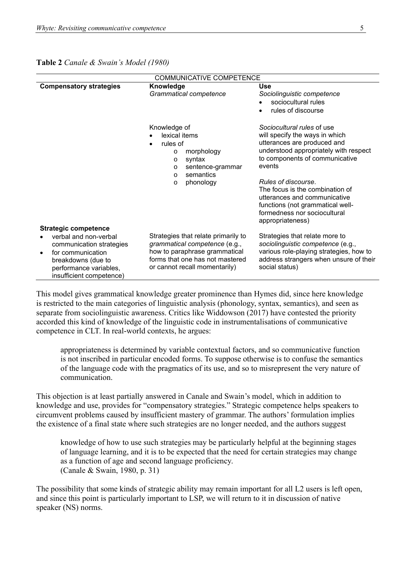| <b>COMMUNICATIVE COMPETENCE</b>                                                                                                                    |                                                                                                                                                                           |                                                                                                                                                                                                                                                                                                                                                                    |  |  |  |
|----------------------------------------------------------------------------------------------------------------------------------------------------|---------------------------------------------------------------------------------------------------------------------------------------------------------------------------|--------------------------------------------------------------------------------------------------------------------------------------------------------------------------------------------------------------------------------------------------------------------------------------------------------------------------------------------------------------------|--|--|--|
| <b>Compensatory strategies</b>                                                                                                                     | Knowledge<br>Grammatical competence                                                                                                                                       | Use<br>Sociolinguistic competence<br>sociocultural rules<br>rules of discourse<br>$\bullet$                                                                                                                                                                                                                                                                        |  |  |  |
|                                                                                                                                                    | Knowledge of<br>lexical items<br>rules of<br>morphology<br>$\circ$<br>syntax<br>$\circ$<br>sentence-grammar<br>$\Omega$<br>semantics<br>$\Omega$<br>phonology<br>O        | Sociocultural rules of use<br>will specify the ways in which<br>utterances are produced and<br>understood appropriately with respect<br>to components of communicative<br>events<br>Rules of discourse.<br>The focus is the combination of<br>utterances and communicative<br>functions (not grammatical well-<br>formedness nor sociocultural<br>appropriateness) |  |  |  |
| <b>Strategic competence</b>                                                                                                                        |                                                                                                                                                                           |                                                                                                                                                                                                                                                                                                                                                                    |  |  |  |
| verbal and non-verbal<br>communication strategies<br>for communication<br>breakdowns (due to<br>performance variables,<br>insufficient competence) | Strategies that relate primarily to<br>grammatical competence (e.g.,<br>how to paraphrase grammatical<br>forms that one has not mastered<br>or cannot recall momentarily) | Strategies that relate more to<br>sociolinguistic competence (e.g.,<br>various role-playing strategies, how to<br>address strangers when unsure of their<br>social status)                                                                                                                                                                                         |  |  |  |

**Table 2** *Canale & Swain's Model (1980)*

This model gives grammatical knowledge greater prominence than Hymes did, since here knowledge is restricted to the main categories of linguistic analysis (phonology, syntax, semantics), and seen as separate from sociolinguistic awareness. Critics like Widdowson (2017) have contested the priority accorded this kind of knowledge of the linguistic code in instrumentalisations of communicative competence in CLT. In real-world contexts, he argues:

appropriateness is determined by variable contextual factors, and so communicative function is not inscribed in particular encoded forms. To suppose otherwise is to confuse the semantics of the language code with the pragmatics of its use, and so to misrepresent the very nature of communication.

This objection is at least partially answered in Canale and Swain's model, which in addition to knowledge and use, provides for "compensatory strategies." Strategic competence helps speakers to circumvent problems caused by insufficient mastery of grammar. The authors' formulation implies the existence of a final state where such strategies are no longer needed, and the authors suggest

knowledge of how to use such strategies may be particularly helpful at the beginning stages of language learning, and it is to be expected that the need for certain strategies may change as a function of age and second language proficiency. (Canale & Swain, 1980, p. 31)

The possibility that some kinds of strategic ability may remain important for all L2 users is left open, and since this point is particularly important to LSP, we will return to it in discussion of native speaker (NS) norms.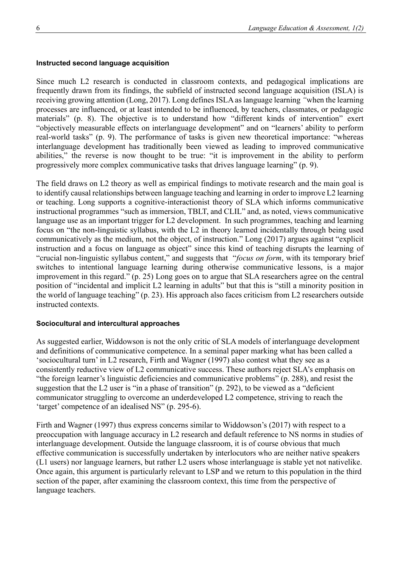#### **Instructed second language acquisition**

Since much L2 research is conducted in classroom contexts, and pedagogical implications are frequently drawn from its findings, the subfield of instructed second language acquisition (ISLA) is receiving growing attention (Long, 2017). Long defines ISLA as language learning *"*when the learning processes are influenced, or at least intended to be influenced, by teachers, classmates, or pedagogic materials" (p. 8). The objective is to understand how "different kinds of intervention" exert "objectively measurable effects on interlanguage development" and on "learners' ability to perform real-world tasks" (p. 9). The performance of tasks is given new theoretical importance: "whereas interlanguage development has traditionally been viewed as leading to improved communicative abilities," the reverse is now thought to be true: "it is improvement in the ability to perform progressively more complex communicative tasks that drives language learning" (p. 9).

The field draws on L2 theory as well as empirical findings to motivate research and the main goal is to identify causal relationships between language teaching and learning in order to improve L2 learning or teaching. Long supports a cognitive-interactionist theory of SLA which informs communicative instructional programmes "such as immersion, TBLT, and CLIL" and, as noted, views communicative language use as an important trigger for L2 development. In such programmes, teaching and learning focus on "the non-linguistic syllabus, with the L2 in theory learned incidentally through being used communicatively as the medium, not the object, of instruction." Long (2017) argues against "explicit instruction and a focus on language as object" since this kind of teaching disrupts the learning of "crucial non-linguistic syllabus content," and suggests that "*focus on form*, with its temporary brief switches to intentional language learning during otherwise communicative lessons, is a major improvement in this regard." (p. 25) Long goes on to argue that SLA researchers agree on the central position of "incidental and implicit L2 learning in adults" but that this is "still a minority position in the world of language teaching" (p. 23). His approach also faces criticism from L2 researchers outside instructed contexts.

#### **Sociocultural and intercultural approaches**

As suggested earlier, Widdowson is not the only critic of SLA models of interlanguage development and definitions of communicative competence. In a seminal paper marking what has been called a 'sociocultural turn' in L2 research, Firth and Wagner (1997) also contest what they see as a consistently reductive view of L2 communicative success. These authors reject SLA's emphasis on "the foreign learner's linguistic deficiencies and communicative problems" (p. 288), and resist the suggestion that the L2 user is "in a phase of transition" (p. 292), to be viewed as a "deficient communicator struggling to overcome an underdeveloped L2 competence, striving to reach the 'target' competence of an idealised NS" (p. 295-6).

Firth and Wagner (1997) thus express concerns similar to Widdowson's (2017) with respect to a preoccupation with language accuracy in L2 research and default reference to NS norms in studies of interlanguage development. Outside the language classroom, it is of course obvious that much effective communication is successfully undertaken by interlocutors who are neither native speakers (L1 users) nor language learners, but rather L2 users whose interlanguage is stable yet not nativelike. Once again, this argument is particularly relevant to LSP and we return to this population in the third section of the paper, after examining the classroom context, this time from the perspective of language teachers.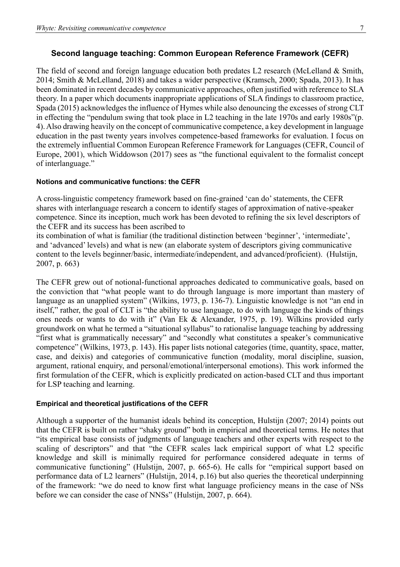# **Second language teaching: Common European Reference Framework (CEFR)**

The field of second and foreign language education both predates L2 research (McLelland & Smith, 2014; Smith & McLelland, 2018) and takes a wider perspective (Kramsch, 2000; Spada, 2013). It has been dominated in recent decades by communicative approaches, often justified with reference to SLA theory. In a paper which documents inappropriate applications of SLA findings to classroom practice, Spada (2015) acknowledges the influence of Hymes while also denouncing the excesses of strong CLT in effecting the "pendulum swing that took place in L2 teaching in the late 1970s and early 1980s"(p. 4). Also drawing heavily on the concept of communicative competence, a key development in language education in the past twenty years involves competence-based frameworks for evaluation. I focus on the extremely influential Common European Reference Framework for Languages (CEFR, Council of Europe, 2001), which Widdowson (2017) sees as "the functional equivalent to the formalist concept of interlanguage."

## **Notions and communicative functions: the CEFR**

A cross-linguistic competency framework based on fine-grained 'can do'statements, the CEFR shares with interlanguage research a concern to identify stages of approximation of native-speaker competence. Since its inception, much work has been devoted to refining the six level descriptors of the CEFR and its success has been ascribed to

its combination of what is familiar (the traditional distinction between 'beginner', 'intermediate', and 'advanced' levels) and what is new (an elaborate system of descriptors giving communicative content to the levels beginner/basic, intermediate/independent, and advanced/proficient). (Hulstijn, 2007, p. 663)

The CEFR grew out of notional-functional approaches dedicated to communicative goals, based on the conviction that "what people want to do through language is more important than mastery of language as an unapplied system" (Wilkins, 1973, p. 136-7). Linguistic knowledge is not "an end in itself," rather, the goal of CLT is "the ability to use language, to do with language the kinds of things ones needs or wants to do with it" (Van Ek & Alexander, 1975, p. 19). Wilkins provided early groundwork on what he termed a "situational syllabus" to rationalise language teaching by addressing "first what is grammatically necessary" and "secondly what constitutes a speaker's communicative competence" (Wilkins, 1973, p. 143). His paper lists notional categories (time, quantity, space, matter, case, and deixis) and categories of communicative function (modality, moral discipline, suasion, argument, rational enquiry, and personal/emotional/interpersonal emotions). This work informed the first formulation of the CEFR, which is explicitly predicated on action-based CLT and thus important for LSP teaching and learning.

## **Empirical and theoretical justifications of the CEFR**

Although a supporter of the humanist ideals behind its conception, Hulstijn (2007; 2014) points out that the CEFR is built on rather "shaky ground" both in empirical and theoretical terms. He notes that "its empirical base consists of judgments of language teachers and other experts with respect to the scaling of descriptors" and that "the CEFR scales lack empirical support of what L2 specific knowledge and skill is minimally required for performance considered adequate in terms of communicative functioning" (Hulstijn, 2007, p. 665-6). He calls for "empirical support based on performance data of L2 learners" (Hulstijn, 2014, p.16) but also queries the theoretical underpinning of the framework: "we do need to know first what language proficiency means in the case of NSs before we can consider the case of NNSs" (Hulstijn, 2007, p. 664).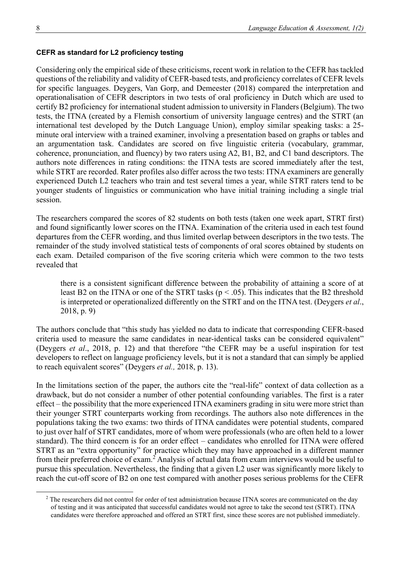### **CEFR as standard for L2 proficiency testing**

Considering only the empirical side of these criticisms, recent work in relation to the CEFR has tackled questions of the reliability and validity of CEFR-based tests, and proficiency correlates of CEFR levels for specific languages. Deygers, Van Gorp, and Demeester (2018) compared the interpretation and operationalisation of CEFR descriptors in two tests of oral proficiency in Dutch which are used to certify B2 proficiency for international student admission to university in Flanders (Belgium). The two tests, the ITNA (created by a Flemish consortium of university language centres) and the STRT (an international test developed by the Dutch Language Union), employ similar speaking tasks: a 25 minute oral interview with a trained examiner, involving a presentation based on graphs or tables and an argumentation task. Candidates are scored on five linguistic criteria (vocabulary, grammar, coherence, pronunciation, and fluency) by two raters using A2, B1, B2, and C1 band descriptors. The authors note differences in rating conditions: the ITNA tests are scored immediately after the test, while STRT are recorded. Rater profiles also differ across the two tests: ITNA examiners are generally experienced Dutch L2 teachers who train and test several times a year, while STRT raters tend to be younger students of linguistics or communication who have initial training including a single trial session.

The researchers compared the scores of 82 students on both tests (taken one week apart, STRT first) and found significantly lower scores on the ITNA. Examination of the criteria used in each test found departures from the CEFR wording, and thus limited overlap between descriptors in the two tests. The remainder of the study involved statistical tests of components of oral scores obtained by students on each exam. Detailed comparison of the five scoring criteria which were common to the two tests revealed that

there is a consistent significant difference between the probability of attaining a score of at least B2 on the ITNA or one of the STRT tasks ( $p < .05$ ). This indicates that the B2 threshold is interpreted or operationalized differently on the STRT and on the ITNA test. (Deygers *et al*., 2018, p. 9)

The authors conclude that "this study has yielded no data to indicate that corresponding CEFR-based criteria used to measure the same candidates in near-identical tasks can be considered equivalent" (Deygers *et al*., 2018, p. 12) and that therefore "the CEFR may be a useful inspiration for test developers to reflect on language proficiency levels, but it is not a standard that can simply be applied to reach equivalent scores" (Deygers *et al.,* 2018, p. 13).

In the limitations section of the paper, the authors cite the "real-life" context of data collection as a drawback, but do not consider a number of other potential confounding variables. The first is a rater effect – the possibility that the more experienced ITNA examiners grading in situ were more strict than their younger STRT counterparts working from recordings. The authors also note differences in the populations taking the two exams: two thirds of ITNA candidates were potential students, compared to just over half of STRT candidates, more of whom were professionals (who are often held to a lower standard). The third concern is for an order effect – candidates who enrolled for ITNA were offered STRT as an "extra opportunity" for practice which they may have approached in a different manner from their preferred choice of exam.<sup>2</sup> Analysis of actual data from exam interviews would be useful to pursue this speculation. Nevertheless, the finding that a given L2 user was significantly more likely to reach the cut-off score of B2 on one test compared with another poses serious problems for the CEFR

<sup>&</sup>lt;sup>2</sup> The researchers did not control for order of test administration because ITNA scores are communicated on the day of testing and it was anticipated that successful candidates would not agree to take the second test (STRT). ITNA candidates were therefore approached and offered an STRT first, since these scores are not published immediately.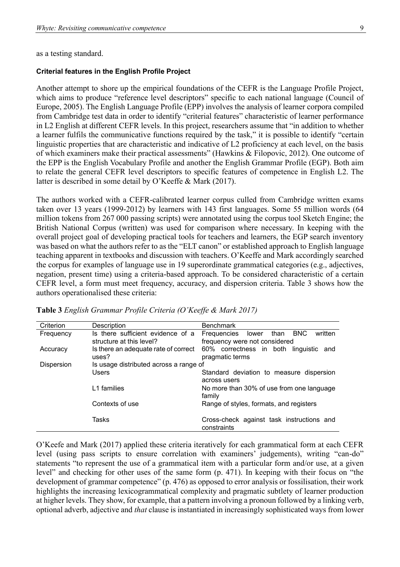as a testing standard.

#### **Criterial features in the English Profile Project**

Another attempt to shore up the empirical foundations of the CEFR is the Language Profile Project, which aims to produce "reference level descriptors" specific to each national language (Council of Europe, 2005). The English Language Profile (EPP) involves the analysis of learner corpora compiled from Cambridge test data in order to identify "criterial features" characteristic of learner performance in L2 English at different CEFR levels. In this project, researchers assume that "in addition to whether a learner fulfils the communicative functions required by the task," it is possible to identify "certain linguistic properties that are characteristic and indicative of L2 proficiency at each level, on the basis of which examiners make their practical assessments" (Hawkins & Filopovic, 2012). One outcome of the EPP is the English Vocabulary Profile and another the English Grammar Profile (EGP). Both aim to relate the general CEFR level descriptors to specific features of competence in English L2. The latter is described in some detail by O'Keeffe & Mark (2017).

The authors worked with a CEFR-calibrated learner corpus culled from Cambridge written exams taken over 13 years (1999-2012) by learners with 143 first languages. Some 55 million words (64 million tokens from 267 000 passing scripts) were annotated using the corpus tool Sketch Engine; the British National Corpus (written) was used for comparison where necessary. In keeping with the overall project goal of developing practical tools for teachers and learners, the EGP search inventory was based on what the authors refer to as the "ELT canon" or established approach to English language teaching apparent in textbooks and discussion with teachers. O'Keeffe and Mark accordingly searched the corpus for examples of language use in 19 superordinate grammatical categories (e.g., adjectives, negation, present time) using a criteria-based approach. To be considered characteristic of a certain CEFR level, a form must meet frequency, accuracy, and dispersion criteria. Table 3 shows how the authors operationalised these criteria:

| Description                       | <b>Benchmark</b>                                                               |  |  |  |
|-----------------------------------|--------------------------------------------------------------------------------|--|--|--|
| Is there sufficient evidence of a | <b>BNC</b><br>written<br>than<br>Frequencies<br>lower                          |  |  |  |
| structure at this level?          | frequency were not considered                                                  |  |  |  |
|                                   | 60% correctness in both linguistic and                                         |  |  |  |
| uses?                             | pragmatic terms                                                                |  |  |  |
|                                   |                                                                                |  |  |  |
| Users                             | Standard deviation to measure dispersion                                       |  |  |  |
|                                   | across users                                                                   |  |  |  |
| L1 families                       | No more than 30% of use from one language                                      |  |  |  |
|                                   | family                                                                         |  |  |  |
| Contexts of use                   | Range of styles, formats, and registers                                        |  |  |  |
|                                   |                                                                                |  |  |  |
| Tasks                             | Cross-check against task instructions and                                      |  |  |  |
|                                   | constraints                                                                    |  |  |  |
|                                   | Is there an adequate rate of correct<br>Is usage distributed across a range of |  |  |  |

**Table 3** *English Grammar Profile Criteria (O'Keeffe & Mark 2017)*

O'Keefe and Mark (2017) applied these criteria iteratively for each grammatical form at each CEFR level (using pass scripts to ensure correlation with examiners' judgements), writing "can-do" statements "to represent the use of a grammatical item with a particular form and/or use, at a given level" and checking for other uses of the same form (p. 471). In keeping with their focus on "the development of grammar competence" (p. 476) as opposed to error analysis or fossilisation, their work highlights the increasing lexicogrammatical complexity and pragmatic subtlety of learner production at higher levels. They show, for example, that a pattern involving a pronoun followed by a linking verb, optional adverb, adjective and *that* clause is instantiated in increasingly sophisticated ways from lower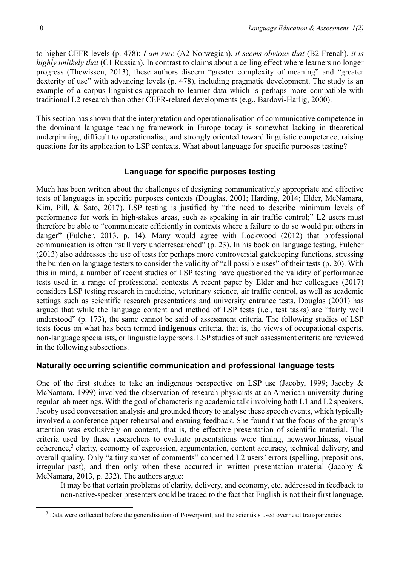to higher CEFR levels (p. 478): *I am sure* (A2 Norwegian), *it seems obvious that* (B2 French), *it is highly unlikely that* (C1 Russian). In contrast to claims about a ceiling effect where learners no longer progress (Thewissen, 2013), these authors discern "greater complexity of meaning" and "greater dexterity of use" with advancing levels (p. 478), including pragmatic development. The study is an example of a corpus linguistics approach to learner data which is perhaps more compatible with traditional L2 research than other CEFR-related developments (e.g., Bardovi-Harlig, 2000).

This section has shown that the interpretation and operationalisation of communicative competence in the dominant language teaching framework in Europe today is somewhat lacking in theoretical underpinning, difficult to operationalise, and strongly oriented toward linguistic competence, raising questions for its application to LSP contexts. What about language for specific purposes testing?

# **Language for specific purposes testing**

Much has been written about the challenges of designing communicatively appropriate and effective tests of languages in specific purposes contexts (Douglas, 2001; Harding, 2014; Elder, McNamara, Kim, Pill, & Sato, 2017). LSP testing is justified by "the need to describe minimum levels of performance for work in high-stakes areas, such as speaking in air traffic control;" L2 users must therefore be able to "communicate efficiently in contexts where a failure to do so would put others in danger" (Fulcher, 2013, p. 14). Many would agree with Lockwood (2012) that professional communication is often "still very underresearched" (p. 23). In his book on language testing, Fulcher (2013) also addresses the use of tests for perhaps more controversial gatekeeping functions, stressing the burden on language testers to consider the validity of "all possible uses" of their tests (p. 20). With this in mind, a number of recent studies of LSP testing have questioned the validity of performance tests used in a range of professional contexts. A recent paper by Elder and her colleagues (2017) considers LSP testing research in medicine, veterinary science, air traffic control, as well as academic settings such as scientific research presentations and university entrance tests. Douglas (2001) has argued that while the language content and method of LSP tests (i.e., test tasks) are "fairly well understood" (p. 173), the same cannot be said of assessment criteria. The following studies of LSP tests focus on what has been termed **indigenous** criteria, that is, the views of occupational experts, non-language specialists, or linguistic laypersons. LSP studies of such assessment criteria are reviewed in the following subsections.

# **Naturally occurring scientific communication and professional language tests**

One of the first studies to take an indigenous perspective on LSP use (Jacoby, 1999; Jacoby & McNamara, 1999) involved the observation of research physicists at an American university during regular lab meetings. With the goal of characterising academic talk involving both L1 and L2 speakers, Jacoby used conversation analysis and grounded theory to analyse these speech events, which typically involved a conference paper rehearsal and ensuing feedback. She found that the focus of the group's attention was exclusively on content, that is, the effective presentation of scientific material. The criteria used by these researchers to evaluate presentations were timing, newsworthiness, visual coherence,<sup>3</sup> clarity, economy of expression, argumentation, content accuracy, technical delivery, and overall quality. Only "a tiny subset of comments" concerned L2 users' errors (spelling, prepositions, irregular past), and then only when these occurred in written presentation material (Jacoby & McNamara, 2013, p. 232). The authors argue:

It may be that certain problems of clarity, delivery, and economy, etc. addressed in feedback to non-native-speaker presenters could be traced to the fact that English is not their first language,

<sup>&</sup>lt;sup>3</sup> Data were collected before the generalisation of Powerpoint, and the scientists used overhead transparencies.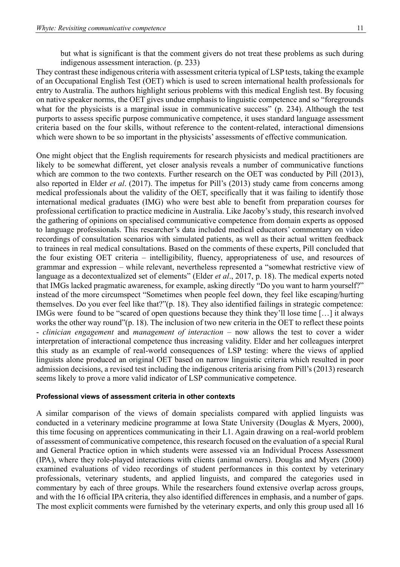but what is significant is that the comment givers do not treat these problems as such during indigenous assessment interaction. (p. 233)

They contrast these indigenous criteria with assessment criteria typical of LSP tests, taking the example of an Occupational English Test (OET) which is used to screen international health professionals for entry to Australia. The authors highlight serious problems with this medical English test. By focusing on native speaker norms, the OET gives undue emphasis to linguistic competence and so "foregrounds what for the physicists is a marginal issue in communicative success" (p. 234). Although the test purports to assess specific purpose communicative competence, it uses standard language assessment criteria based on the four skills, without reference to the content-related, interactional dimensions which were shown to be so important in the physicists' assessments of effective communication.

One might object that the English requirements for research physicists and medical practitioners are likely to be somewhat different, yet closer analysis reveals a number of communicative functions which are common to the two contexts. Further research on the OET was conducted by Pill (2013), also reported in Elder *et al*. (2017). The impetus for Pill's (2013) study came from concerns among medical professionals about the validity of the OET, specifically that it was failing to identify those international medical graduates (IMG) who were best able to benefit from preparation courses for professional certification to practice medicine in Australia. Like Jacoby's study, this research involved the gathering of opinions on specialised communicative competence from domain experts as opposed to language professionals. This researcher's data included medical educators' commentary on video recordings of consultation scenarios with simulated patients, as well as their actual written feedback to trainees in real medical consultations. Based on the comments of these experts, Pill concluded that the four existing OET criteria – intelligibility, fluency, appropriateness of use, and resources of grammar and expression – while relevant, nevertheless represented a "somewhat restrictive view of language as a decontextualized set of elements" (Elder *et al*., 2017, p. 18). The medical experts noted that IMGs lacked pragmatic awareness, for example, asking directly "Do you want to harm yourself?" instead of the more circumspect "Sometimes when people feel down, they feel like escaping/hurting themselves. Do you ever feel like that?"(p. 18). They also identified failings in strategic competence: IMGs were found to be "scared of open questions because they think they'll lose time […] it always works the other way round"(p. 18). The inclusion of two new criteria in the OET to reflect these points - *clinician engagement* and *management of interaction* – now allows the test to cover a wider interpretation of interactional competence thus increasing validity. Elder and her colleagues interpret this study as an example of real-world consequences of LSP testing: where the views of applied linguists alone produced an original OET based on narrow linguistic criteria which resulted in poor admission decisions, a revised test including the indigenous criteria arising from Pill's (2013) research seems likely to prove a more valid indicator of LSP communicative competence.

#### **Professional views of assessment criteria in other contexts**

A similar comparison of the views of domain specialists compared with applied linguists was conducted in a veterinary medicine programme at Iowa State University (Douglas & Myers, 2000), this time focusing on apprentices communicating in their L1. Again drawing on a real-world problem of assessment of communicative competence, this research focused on the evaluation of a special Rural and General Practice option in which students were assessed via an Individual Process Assessment (IPA), where they role-played interactions with clients (animal owners). Douglas and Myers (2000) examined evaluations of video recordings of student performances in this context by veterinary professionals, veterinary students, and applied linguists, and compared the categories used in commentary by each of three groups. While the researchers found extensive overlap across groups, and with the 16 official IPA criteria, they also identified differences in emphasis, and a number of gaps. The most explicit comments were furnished by the veterinary experts, and only this group used all 16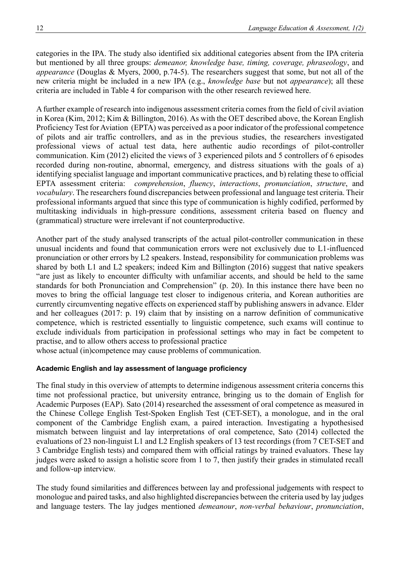categories in the IPA. The study also identified six additional categories absent from the IPA criteria but mentioned by all three groups: *demeanor, knowledge base, timing, coverage, phraseology*, and *appearance* (Douglas & Myers, 2000, p.74-5). The researchers suggest that some, but not all of the new criteria might be included in a new IPA (e.g., *knowledge base* but not *appearance*); all these criteria are included in Table 4 for comparison with the other research reviewed here.

A further example of research into indigenous assessment criteria comes from the field of civil aviation in Korea (Kim, 2012; Kim & Billington, 2016). As with the OET described above, the Korean English Proficiency Test for Aviation (EPTA) was perceived as a poor indicator of the professional competence of pilots and air traffic controllers, and as in the previous studies, the researchers investigated professional views of actual test data, here authentic audio recordings of pilot-controller communication. Kim (2012) elicited the views of 3 experienced pilots and 5 controllers of 6 episodes recorded during non-routine, abnormal, emergency, and distress situations with the goals of a) identifying specialist language and important communicative practices, and b) relating these to official EPTA assessment criteria: *comprehension*, *fluency*, *interactions*, *pronunciation*, *structure*, and *vocabulary*. The researchers found discrepancies between professional and language test criteria. Their professional informants argued that since this type of communication is highly codified, performed by multitasking individuals in high-pressure conditions, assessment criteria based on fluency and (grammatical) structure were irrelevant if not counterproductive.

Another part of the study analysed transcripts of the actual pilot-controller communication in these unusual incidents and found that communication errors were not exclusively due to L1-influenced pronunciation or other errors by L2 speakers. Instead, responsibility for communication problems was shared by both L1 and L2 speakers; indeed Kim and Billington (2016) suggest that native speakers "are just as likely to encounter difficulty with unfamiliar accents, and should be held to the same standards for both Pronunciation and Comprehension" (p. 20). In this instance there have been no moves to bring the official language test closer to indigenous criteria, and Korean authorities are currently circumventing negative effects on experienced staff by publishing answers in advance. Elder and her colleagues (2017: p. 19) claim that by insisting on a narrow definition of communicative competence, which is restricted essentially to linguistic competence, such exams will continue to exclude individuals from participation in professional settings who may in fact be competent to practise, and to allow others access to professional practice

whose actual (in)competence may cause problems of communication.

# **Academic English and lay assessment of language proficiency**

The final study in this overview of attempts to determine indigenous assessment criteria concerns this time not professional practice, but university entrance, bringing us to the domain of English for Academic Purposes (EAP). Sato (2014) researched the assessment of oral competence as measured in the Chinese College English Test-Spoken English Test (CET-SET), a monologue, and in the oral component of the Cambridge English exam, a paired interaction. Investigating a hypothesised mismatch between linguist and lay interpretations of oral competence, Sato (2014) collected the evaluations of 23 non-linguist L1 and L2 English speakers of 13 test recordings (from 7 CET-SET and 3 Cambridge English tests) and compared them with official ratings by trained evaluators. These lay judges were asked to assign a holistic score from 1 to 7, then justify their grades in stimulated recall and follow-up interview.

The study found similarities and differences between lay and professional judgements with respect to monologue and paired tasks, and also highlighted discrepancies between the criteria used by lay judges and language testers. The lay judges mentioned *demeanour*, *non-verbal behaviour*, *pronunciation*,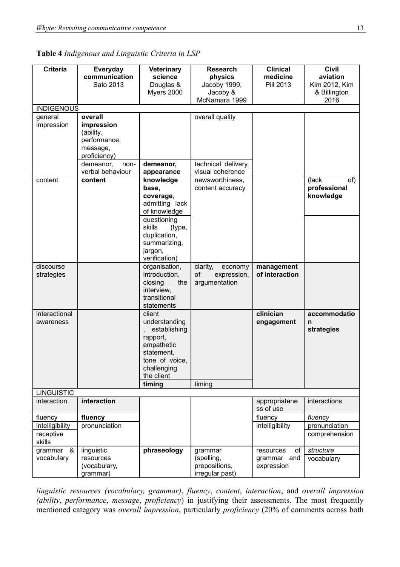| 전 사<br>×           |
|--------------------|
| ۰.<br>۰,<br>×<br>٠ |

| Table 4 Indigenous and Linguistic Criteria in LSP |  |  |  |
|---------------------------------------------------|--|--|--|
|---------------------------------------------------|--|--|--|

| <b>Criteria</b>     | Everyday          | <b>Veterinary</b>      | <b>Research</b>     | <b>Clinical</b>      | <b>Civil</b>  |
|---------------------|-------------------|------------------------|---------------------|----------------------|---------------|
|                     | communication     | science                | physics             | medicine             | aviation      |
|                     | Sato 2013         | Douglas &              | Jacoby 1999,        | <b>Pill 2013</b>     | Kim 2012, Kim |
|                     |                   | Myers 2000             | Jacoby &            |                      | & Billington  |
|                     |                   |                        | McNamara 1999       |                      | 2016          |
| <b>INDIGENOUS</b>   |                   |                        |                     |                      |               |
| general             | overall           |                        | overall quality     |                      |               |
| impression          | impression        |                        |                     |                      |               |
|                     | (ability,         |                        |                     |                      |               |
|                     | performance,      |                        |                     |                      |               |
|                     | message,          |                        |                     |                      |               |
|                     | proficiency)      |                        |                     |                      |               |
|                     | demeanor,<br>non- | demeanor,              | technical delivery, |                      |               |
|                     | verbal behaviour  | appearance             | visual coherence    |                      |               |
| content             | content           | knowledge              | newsworthiness,     |                      | of)<br>(lack  |
|                     |                   | base,                  | content accuracy    |                      | professional  |
|                     |                   | coverage,              |                     |                      | knowledge     |
|                     |                   | admitting lack         |                     |                      |               |
|                     |                   | of knowledge           |                     |                      |               |
|                     |                   | questioning<br>skills  |                     |                      |               |
|                     |                   | (type,<br>duplication, |                     |                      |               |
|                     |                   | summarizing,           |                     |                      |               |
|                     |                   | jargon,                |                     |                      |               |
|                     |                   | verification)          |                     |                      |               |
| discourse           |                   | organisation,          | clarity,<br>economy | management           |               |
| strategies          |                   | introduction,          | of<br>expression,   | of interaction       |               |
|                     |                   | the<br>closing         | argumentation       |                      |               |
|                     |                   | interview,             |                     |                      |               |
|                     |                   | transitional           |                     |                      |               |
|                     |                   | statements             |                     |                      |               |
| interactional       |                   | client                 |                     | clinician            | accommodatio  |
| awareness           |                   | understanding          |                     | engagement           | n             |
|                     |                   | establishing           |                     |                      | strategies    |
|                     |                   | rapport,               |                     |                      |               |
|                     |                   | empathetic             |                     |                      |               |
|                     |                   | statement,             |                     |                      |               |
|                     |                   | tone of voice,         |                     |                      |               |
|                     |                   | challenging            |                     |                      |               |
|                     |                   | the client             |                     |                      |               |
|                     |                   | timing                 | timing              |                      |               |
| <b>LINGUISTIC</b>   |                   |                        |                     |                      |               |
| interaction         | interaction       |                        |                     | appropriatene        | interactions  |
|                     |                   |                        |                     | ss of use<br>fluency |               |
| fluency             | fluency           |                        |                     |                      | fluency       |
| intelligibility     | pronunciation     |                        |                     | intelligibility      | pronunciation |
| receptive<br>skills |                   |                        |                     |                      | comprehension |
| grammar<br>&        | linguistic        | phraseology            | grammar             | of<br>resources      | structure     |
| vocabulary          | resources         |                        | (spelling,          | grammar and          | vocabulary    |
|                     | (vocabulary,      |                        | prepositions,       | expression           |               |
|                     | grammar)          |                        | irregular past)     |                      |               |

*linguistic resources (vocabulary, grammar)*, *fluency*, *content*, *interaction*, and *overall impression (ability*, *performance*, *message*, *proficiency*) in justifying their assessments. The most frequently mentioned category was *overall impression*, particularly *proficiency* (20% of comments across both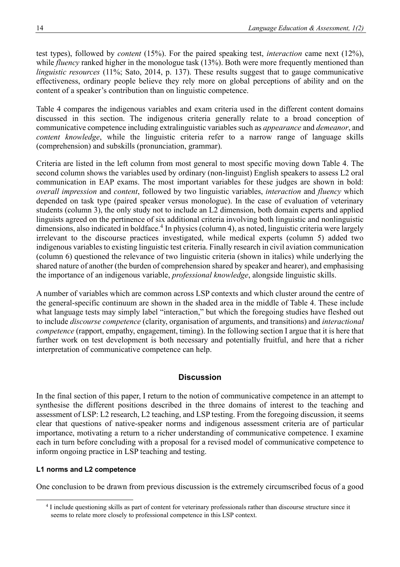test types), followed by *content* (15%). For the paired speaking test, *interaction* came next (12%), while *fluency* ranked higher in the monologue task (13%). Both were more frequently mentioned than *linguistic resources* (11%; Sato, 2014, p. 137). These results suggest that to gauge communicative effectiveness, ordinary people believe they rely more on global perceptions of ability and on the content of a speaker's contribution than on linguistic competence.

Table 4 compares the indigenous variables and exam criteria used in the different content domains discussed in this section. The indigenous criteria generally relate to a broad conception of communicative competence including extralinguistic variables such as *appearance* and *demeanor*, and *content knowledge*, while the linguistic criteria refer to a narrow range of language skills (comprehension) and subskills (pronunciation, grammar).

Criteria are listed in the left column from most general to most specific moving down Table 4. The second column shows the variables used by ordinary (non-linguist) English speakers to assess L2 oral communication in EAP exams. The most important variables for these judges are shown in bold: *overall impression* and *content*, followed by two linguistic variables, *interaction* and *fluency* which depended on task type (paired speaker versus monologue). In the case of evaluation of veterinary students (column 3), the only study not to include an L2 dimension, both domain experts and applied linguists agreed on the pertinence of six additional criteria involving both linguistic and nonlinguistic dimensions, also indicated in boldface.<sup>4</sup> In physics (column 4), as noted, linguistic criteria were largely irrelevant to the discourse practices investigated, while medical experts (column 5) added two indigenous variables to existing linguistic test criteria. Finally research in civil aviation communication (column 6) questioned the relevance of two linguistic criteria (shown in italics) while underlying the shared nature of another (the burden of comprehension shared by speaker and hearer), and emphasising the importance of an indigenous variable, *professional knowledge*, alongside linguistic skills.

A number of variables which are common across LSP contexts and which cluster around the centre of the general-specific continuum are shown in the shaded area in the middle of Table 4. These include what language tests may simply label "interaction," but which the foregoing studies have fleshed out to include *discourse competence* (clarity, organisation of arguments, and transitions) and *interactional competence* (rapport, empathy, engagement, timing). In the following section I argue that it is here that further work on test development is both necessary and potentially fruitful, and here that a richer interpretation of communicative competence can help.

# **Discussion**

In the final section of this paper, I return to the notion of communicative competence in an attempt to synthesise the different positions described in the three domains of interest to the teaching and assessment of LSP: L2 research, L2 teaching, and LSP testing. From the foregoing discussion, it seems clear that questions of native-speaker norms and indigenous assessment criteria are of particular importance, motivating a return to a richer understanding of communicative competence. I examine each in turn before concluding with a proposal for a revised model of communicative competence to inform ongoing practice in LSP teaching and testing.

## **L1 norms and L2 competence**

One conclusion to be drawn from previous discussion is the extremely circumscribed focus of a good

<sup>&</sup>lt;sup>4</sup> I include questioning skills as part of content for veterinary professionals rather than discourse structure since it seems to relate more closely to professional competence in this LSP context.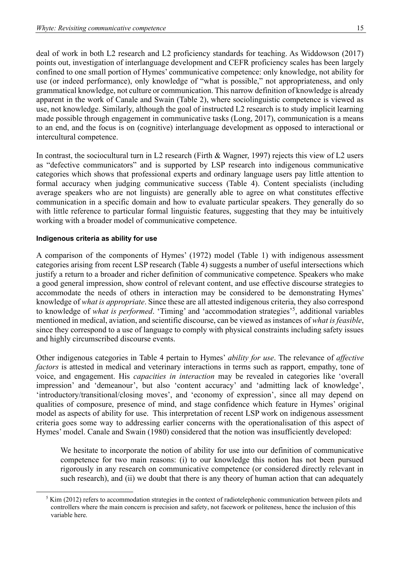deal of work in both L2 research and L2 proficiency standards for teaching. As Widdowson (2017) points out, investigation of interlanguage development and CEFR proficiency scales has been largely confined to one small portion of Hymes' communicative competence: only knowledge, not ability for use (or indeed performance), only knowledge of "what is possible," not appropriateness, and only grammatical knowledge, not culture or communication. This narrow definition of knowledge is already apparent in the work of Canale and Swain (Table 2), where sociolinguistic competence is viewed as use, not knowledge. Similarly, although the goal of instructed L2 research is to study implicit learning made possible through engagement in communicative tasks (Long, 2017), communication is a means to an end, and the focus is on (cognitive) interlanguage development as opposed to interactional or intercultural competence.

In contrast, the sociocultural turn in L2 research (Firth & Wagner, 1997) rejects this view of L2 users as "defective communicators" and is supported by LSP research into indigenous communicative categories which shows that professional experts and ordinary language users pay little attention to formal accuracy when judging communicative success (Table 4). Content specialists (including average speakers who are not linguists) are generally able to agree on what constitutes effective communication in a specific domain and how to evaluate particular speakers. They generally do so with little reference to particular formal linguistic features, suggesting that they may be intuitively working with a broader model of communicative competence.

## **Indigenous criteria as ability for use**

A comparison of the components of Hymes' (1972) model (Table 1) with indigenous assessment categories arising from recent LSP research (Table 4) suggests a number of useful intersections which justify a return to a broader and richer definition of communicative competence. Speakers who make a good general impression, show control of relevant content, and use effective discourse strategies to accommodate the needs of others in interaction may be considered to be demonstrating Hymes' knowledge of *what is appropriate*. Since these are all attested indigenous criteria, they also correspond to knowledge of *what is performed*. 'Timing' and 'accommodation strategies'<sup>5</sup> , additional variables mentioned in medical, aviation, and scientific discourse, can be viewed as instances of *what is feasible*, since they correspond to a use of language to comply with physical constraints including safety issues and highly circumscribed discourse events.

Other indigenous categories in Table 4 pertain to Hymes' *ability for use*. The relevance of *affective factors* is attested in medical and veterinary interactions in terms such as rapport, empathy, tone of voice, and engagement. His *capacities in interaction* may be revealed in categories like 'overall impression' and 'demeanour', but also 'content accuracy' and 'admitting lack of knowledge', 'introductory/transitional/closing moves', and 'economy of expression', since all may depend on qualities of composure, presence of mind, and stage confidence which feature in Hymes' original model as aspects of ability for use. This interpretation of recent LSP work on indigenous assessment criteria goes some way to addressing earlier concerns with the operationalisation of this aspect of Hymes' model. Canale and Swain (1980) considered that the notion was insufficiently developed:

We hesitate to incorporate the notion of ability for use into our definition of communicative competence for two main reasons: (i) to our knowledge this notion has not been pursued rigorously in any research on communicative competence (or considered directly relevant in such research), and (ii) we doubt that there is any theory of human action that can adequately

<sup>&</sup>lt;sup>5</sup> Kim (2012) refers to accommodation strategies in the context of radiotelephonic communication between pilots and controllers where the main concern is precision and safety, not facework or politeness, hence the inclusion of this variable here.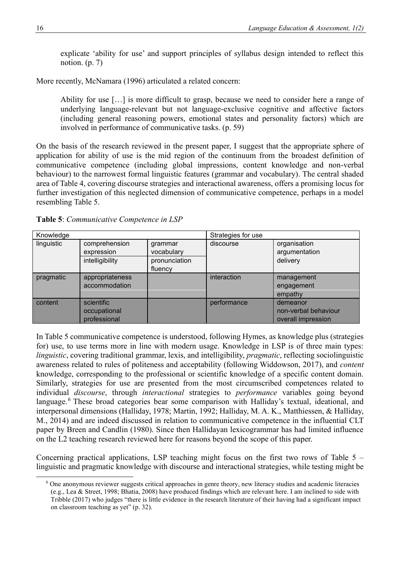explicate 'ability for use' and support principles of syllabus design intended to reflect this notion. (p. 7)

More recently, McNamara (1996) articulated a related concern:

Ability for use […] is more difficult to grasp, because we need to consider here a range of underlying language-relevant but not language-exclusive cognitive and affective factors (including general reasoning powers, emotional states and personality factors) which are involved in performance of communicative tasks. (p. 59)

On the basis of the research reviewed in the present paper, I suggest that the appropriate sphere of application for ability of use is the mid region of the continuum from the broadest definition of communicative competence (including global impressions, content knowledge and non-verbal behaviour) to the narrowest formal linguistic features (grammar and vocabulary). The central shaded area of Table 4, covering discourse strategies and interactional awareness, offers a promising locus for further investigation of this neglected dimension of communicative competence, perhaps in a model resembling Table 5.

| Knowledge  |                                                |                                                   | Strategies for use |                                                        |
|------------|------------------------------------------------|---------------------------------------------------|--------------------|--------------------------------------------------------|
| linguistic | comprehension<br>expression<br>intelligibility | grammar<br>vocabulary<br>pronunciation<br>fluency | discourse          | organisation<br>argumentation<br>delivery              |
| pragmatic  | appropriateness<br>accommodation               |                                                   | interaction        | management<br>engagement<br>empathy                    |
| content    | scientific<br>occupational<br>professional     |                                                   | performance        | demeanor<br>non-verbal behaviour<br>overall impression |

**Table 5**: *Communicative Competence in LSP*

In Table 5 communicative competence is understood, following Hymes, as knowledge plus (strategies for) use, to use terms more in line with modern usage. Knowledge in LSP is of three main types: *linguistic*, covering traditional grammar, lexis, and intelligibility, *pragmatic*, reflecting sociolinguistic awareness related to rules of politeness and acceptability (following Widdowson, 2017), and *content* knowledge, corresponding to the professional or scientific knowledge of a specific content domain. Similarly, strategies for use are presented from the most circumscribed competences related to individual *discourse*, through *interactional* strategies to *performance* variables going beyond language.<sup>6</sup> These broad categories bear some comparison with Halliday's textual, ideational, and interpersonal dimensions (Halliday, 1978; Martin, 1992; Halliday, M. A. K., Matthiessen, & Halliday, M., 2014) and are indeed discussed in relation to communicative competence in the influential CLT paper by Breen and Candlin (1980). Since then Hallidayan lexicogrammar has had limited influence on the L2 teaching research reviewed here for reasons beyond the scope of this paper.

Concerning practical applications, LSP teaching might focus on the first two rows of Table 5 – linguistic and pragmatic knowledge with discourse and interactional strategies, while testing might be

<sup>6</sup> One anonymous reviewer suggests critical approaches in genre theory, new literacy studies and academic literacies (e.g., Lea & Street, 1998; Bhatia, 2008) have produced findings which are relevant here. I am inclined to side with Tribble (2017) who judges "there is little evidence in the research literature of their having had a significant impact on classroom teaching as yet" (p. 32).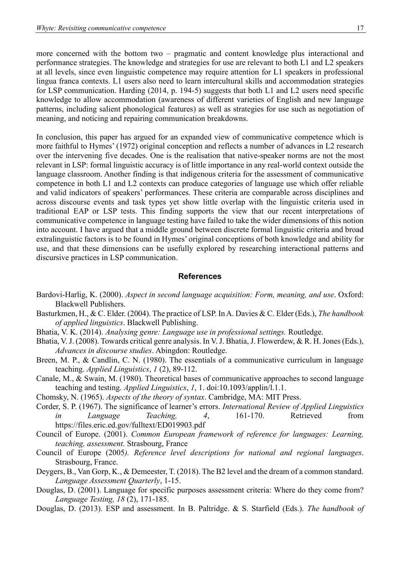more concerned with the bottom two – pragmatic and content knowledge plus interactional and performance strategies. The knowledge and strategies for use are relevant to both L1 and L2 speakers at all levels, since even linguistic competence may require attention for L1 speakers in professional lingua franca contexts. L1 users also need to learn intercultural skills and accommodation strategies for LSP communication. Harding (2014, p. 194-5) suggests that both L1 and L2 users need specific knowledge to allow accommodation (awareness of different varieties of English and new language patterns, including salient phonological features) as well as strategies for use such as negotiation of meaning, and noticing and repairing communication breakdowns.

In conclusion, this paper has argued for an expanded view of communicative competence which is more faithful to Hymes' (1972) original conception and reflects a number of advances in L2 research over the intervening five decades. One is the realisation that native-speaker norms are not the most relevant in LSP: formal linguistic accuracy is of little importance in any real-world context outside the language classroom. Another finding is that indigenous criteria for the assessment of communicative competence in both L1 and L2 contexts can produce categories of language use which offer reliable and valid indicators of speakers' performances. These criteria are comparable across disciplines and across discourse events and task types yet show little overlap with the linguistic criteria used in traditional EAP or LSP tests. This finding supports the view that our recent interpretations of communicative competence in language testing have failed to take the wider dimensions of this notion into account. I have argued that a middle ground between discrete formal linguistic criteria and broad extralinguistic factors is to be found in Hymes' original conceptions of both knowledge and ability for use, and that these dimensions can be usefully explored by researching interactional patterns and discursive practices in LSP communication.

## **References**

- Bardovi-Harlig, K. (2000). *Aspect in second language acquisition: Form, meaning, and use*. Oxford: Blackwell Publishers.
- Basturkmen, H., & C. Elder. (2004). The practice of LSP. In A. Davies & C. Elder (Eds.), *The handbook of applied linguistics*. Blackwell Publishing.
- Bhatia, V. K. (2014). *Analysing genre: Language use in professional settings.* Routledge.
- Bhatia, V. J. (2008). Towards critical genre analysis. In V. J. Bhatia, J. Flowerdew, & R. H. Jones (Eds.), *Advances in discourse studies*. Abingdon: Routledge.
- Breen, M. P., & Candlin, C. N. (1980). The essentials of a communicative curriculum in language teaching. *Applied Linguistics*, *1* (2), 89-112.
- Canale, M., & Swain, M. (1980). Theoretical bases of communicative approaches to second language teaching and testing. *Applied Linguistics*, *1*, 1. doi:10.1093/applin/l.1.1.
- Chomsky, N. (1965). *Aspects of the theory of syntax*. Cambridge, MA: MIT Press.
- Corder, S. P. (1967). The significance of learner's errors. *International Review of Applied Linguistics in Language Teaching, 4*, 161-170. Retrieved from <https://files.eric.ed.gov/fulltext/ED019903.pdf>
- Council of Europe. (2001). *Common European framework of reference for languages: Learning, teaching, assessment*. Strasbourg, France
- Council of Europe (2005*). Reference level descriptions for national and regional languages*. Strasbourg, France.
- Deygers, B., Van Gorp, K., & Demeester, T. (2018). The B2 level and the dream of a common standard. *Language Assessment Quarterly*, 1-15.
- Douglas, D. (2001). Language for specific purposes assessment criteria: Where do they come from? *Language Testing, 18* (2), 171-185.
- Douglas, D. (2013). ESP and assessment. In B. Paltridge. & S. Starfield (Eds.). *The handbook of*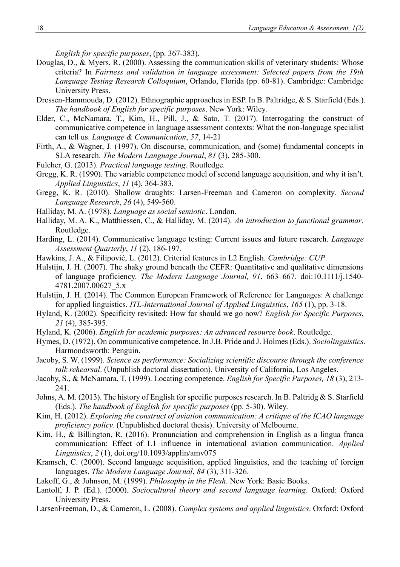*English for specific purposes*, (pp. 367-383).

- Douglas, D., & Myers, R. (2000). Assessing the communication skills of veterinary students: Whose criteria? In *Fairness and validation in language assessment: Selected papers from the 19th Language Testing Research Colloquium*, Orlando, Florida (pp. 60-81). Cambridge: Cambridge University Press.
- Dressen-Hammouda, D. (2012). Ethnographic approaches in ESP. In B. Paltridge, & S. Starfield (Eds.). *The handbook of English for specific purposes*. New York: Wiley.
- Elder, C., McNamara, T., Kim, H., Pill, J., & Sato, T. (2017). Interrogating the construct of communicative competence in language assessment contexts: What the non-language specialist can tell us. *Language & Communication*, *57*, 14-21
- Firth, A., & Wagner, J. (1997). On discourse, communication, and (some) fundamental concepts in SLA research. *The Modern Language Journal*, *81* (3), 285-300.
- Fulcher, G. (2013). *Practical language testing*. Routledge.
- Gregg, K. R. (1990). The variable competence model of second language acquisition, and why it isn't. *Applied Linguistics*, *11* (4), 364-383.
- Gregg, K. R. (2010). Shallow draughts: Larsen-Freeman and Cameron on complexity. *Second Language Research*, *26* (4), 549-560.
- Halliday, M. A. (1978). *Language as social semiotic*. London.
- Halliday, M. A. K., Matthiessen, C., & Halliday, M. (2014). *An introduction to functional grammar*. Routledge.
- Harding, L. (2014). Communicative language testing: Current issues and future research. *Language Assessment Quarterly*, *11* (2), 186-197.
- Hawkins, J. A., & Filipović, L. (2012). Criterial features in L2 English. *Cambridge: CUP*.
- Hulstijn, J. H. (2007). The shaky ground beneath the CEFR: Quantitative and qualitative dimensions of language proficiency. *The Modern Language Journal, 91*, 663–667. doi:10.1111/j.1540- 4781.2007.00627\_5.x
- Hulstijn, J. H. (2014). The Common European Framework of Reference for Languages: A challenge for applied linguistics. *ITL-International Journal of Applied Linguistics*, *165* (1), pp. 3-18.
- Hyland, K. (2002). Specificity revisited: How far should we go now? *English for Specific Purposes*, *21* (4), 385-395.
- Hyland, K. (2006). *English for academic purposes: An advanced resource book*. Routledge.
- Hymes, D. (1972). On communicative competence. In J.B. Pride and J. Holmes (Eds.). *Sociolinguistics*. Harmondsworth: Penguin.
- Jacoby, S. W. (1999). *Science as performance: Socializing scientific discourse through the conference talk rehearsal*. (Unpublish doctoral dissertation). University of California, Los Angeles.
- Jacoby, S., & McNamara, T. (1999). Locating competence. *English for Specific Purposes, 18* (3), 213- 241.
- Johns, A. M. (2013). The history of English for specific purposes research. In B. Paltridg & S. Starfield (Eds.). *The handbook of English for specific purposes* (pp. 5-30). Wiley.
- Kim, H. (2012). *Exploring the construct of aviation communication: A critique of the ICAO language proficiency policy.* (Unpublished doctoral thesis). University of Melbourne.
- Kim, H., & Billington, R. (2016). Pronunciation and comprehension in English as a lingua franca communication: Effect of L1 influence in international aviation communication. *Applied Linguistics*, *2* (1), doi.org/10.1093/applin/amv075
- Kramsch, C. (2000). Second language acquisition, applied linguistics, and the teaching of foreign languages. *The Modern Language Journal*, *84* (3), 311-326.
- Lakoff, G., & Johnson, M. (1999). *Philosophy in the Flesh*. New York: Basic Books.
- Lantolf, J. P. (Ed.). (2000). *Sociocultural theory and second language learning*. Oxford: Oxford University Press.
- LarsenFreeman, D., & Cameron, L. (2008). *Complex systems and applied linguistics*. Oxford: Oxford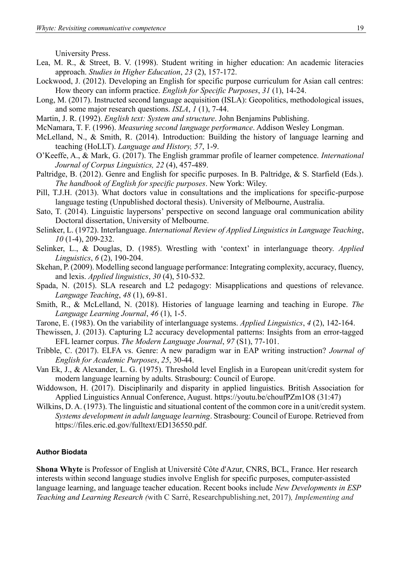University Press.

- Lea, M. R., & Street, B. V. (1998). Student writing in higher education: An academic literacies approach. *Studies in Higher Education*, *23* (2), 157-172.
- Lockwood, J. (2012). Developing an English for specific purpose curriculum for Asian call centres: How theory can inform practice. *English for Specific Purposes*, *31* (1), 14-24.
- Long, M. (2017). Instructed second language acquisition (ISLA): Geopolitics, methodological issues, and some major research questions. *ISLA*, *1* (1), 7-44.
- Martin, J. R. (1992). *English text: System and structure*. John Benjamins Publishing.
- McNamara, T. F. (1996). *Measuring second language performance*. Addison Wesley Longman.
- McLelland, N., & Smith, R. (2014). Introduction: Building the history of language learning and teaching (HoLLT). *Language and History, 57*, 1-9.
- O'Keeffe, A., & Mark, G. (2017). The English grammar profile of learner competence. *International Journal of Corpus Linguistics, 22* (4), 457-489.
- Paltridge, B. (2012). Genre and English for specific purposes. In B. Paltridge, & S. Starfield (Eds.). *The handbook of English for specific purposes*. New York: Wiley.
- Pill, T.J.H. (2013). What doctors value in consultations and the implications for specific-purpose language testing (Unpublished doctoral thesis). University of Melbourne, Australia.
- Sato, T. (2014). Linguistic laypersons' perspective on second language oral communication ability Doctoral dissertation, University of Melbourne.
- Selinker, L. (1972). Interlanguage. *International Review of Applied Linguistics in Language Teaching*, *10* (1-4), 209-232.
- Selinker, L., & Douglas, D. (1985). Wrestling with 'context' in interlanguage theory. *Applied Linguistics*, *6* (2), 190-204.
- Skehan, P. (2009). Modelling second language performance: Integrating complexity, accuracy, fluency, and lexis. *Applied linguistics*, *30* (4), 510-532.
- Spada, N. (2015). SLA research and L2 pedagogy: Misapplications and questions of relevance. *Language Teaching*, *48* (1), 69-81.
- Smith, R., & McLelland, N. (2018). Histories of language learning and teaching in Europe. *The Language Learning Journal*, *46* (1), 1-5.
- Tarone, E. (1983). On the variability of interlanguage systems. *Applied Linguistics*, *4* (2), 142-164.
- Thewissen, J. (2013). Capturing L2 accuracy developmental patterns: Insights from an error‐tagged EFL learner corpus. *The Modern Language Journal*, *97* (S1), 77-101.
- Tribble, C. (2017). ELFA vs. Genre: A new paradigm war in EAP writing instruction? *Journal of English for Academic Purposes*, *25*, 30-44.
- Van Ek, J., & Alexander, L. G. (1975). Threshold level English in a European unit/credit system for modern language learning by adults. Strasbourg: Council of Europe.
- Widdowson, H. (2017). Disciplinarily and disparity in applied linguistics. British Association for Applied Linguistics Annual Conference, August.<https://youtu.be/choufPZm1O8> (31:47)
- Wilkins, D. A. (1973). The linguistic and situational content of the common core in a unit/credit system. *Systems development in adult language learning*. Strasbourg: Council of Europe. Retrieved from [https://files.eric.ed.gov/fulltext/ED136550.pdf.](https://files.eric.ed.gov/fulltext/ED136550.pdf)

### **Author Biodata**

**Shona Whyte** is Professor of English at Université Côte d'Azur, CNRS, BCL, France. Her research interests within second language studies involve English for specific purposes, computer-assisted language learning, and language teacher education. Recent books include *[New Developments in ESP](https://research-publishing.net/book?10.14705/rpnet.2017.cssw2017.9782490057016)  [Teaching and Learning Research](https://research-publishing.net/book?10.14705/rpnet.2017.cssw2017.9782490057016) (*with C Sarré, Researchpublishing.net, 2017)*, Implementing and*